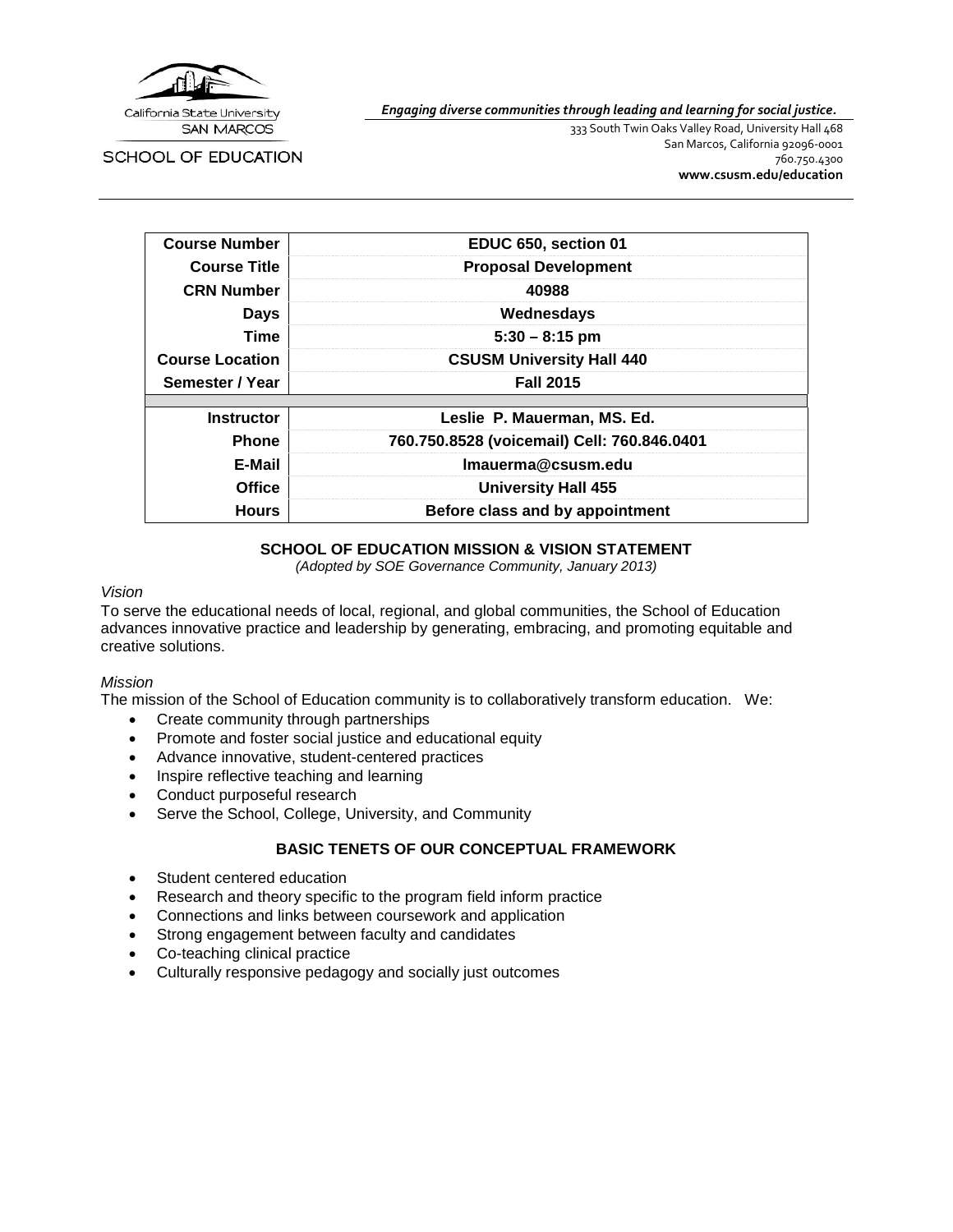

SCHOOL OF EDUCATION

*Engaging diverse communities through leading and learning for social justice.*

333 South Twin Oaks Valley Road, University Hall 468 San Marcos, California 92096-0001 760.750.4300 **[www.csusm.edu/education](http://www.csusm.edu/education)**

| <b>Course Number</b>                            | EDUC 650, section 01                        |  |  |
|-------------------------------------------------|---------------------------------------------|--|--|
| <b>Course Title</b>                             | <b>Proposal Development</b>                 |  |  |
| <b>CRN Number</b>                               | 40988                                       |  |  |
| <b>Days</b>                                     | Wednesdays                                  |  |  |
| Time<br>$5:30 - 8:15$ pm                        |                                             |  |  |
| <b>Course Location</b>                          | <b>CSUSM University Hall 440</b>            |  |  |
| Semester / Year                                 | <b>Fall 2015</b>                            |  |  |
|                                                 |                                             |  |  |
| <b>Instructor</b>                               | Leslie P. Mauerman, MS. Ed.                 |  |  |
| <b>Phone</b>                                    | 760.750.8528 (voicemail) Cell: 760.846.0401 |  |  |
| E-Mail                                          | Imauerma@csusm.edu                          |  |  |
| <b>Office</b>                                   | <b>University Hall 455</b>                  |  |  |
| Before class and by appointment<br><b>Hours</b> |                                             |  |  |

### **SCHOOL OF EDUCATION MISSION & VISION STATEMENT**

*(Adopted by SOE Governance Community, January 2013)*

#### *Vision*

To serve the educational needs of local, regional, and global communities, the School of Education advances innovative practice and leadership by generating, embracing, and promoting equitable and creative solutions.

#### *Mission*

The mission of the School of Education community is to collaboratively transform education. We:

- Create community through partnerships
- Promote and foster social justice and educational equity
- Advance innovative, student-centered practices
- Inspire reflective teaching and learning
- Conduct purposeful research
- Serve the School, College, University, and Community

### **BASIC TENETS OF OUR CONCEPTUAL FRAMEWORK**

- Student centered education
- Research and theory specific to the program field inform practice
- Connections and links between coursework and application
- Strong engagement between faculty and candidates
- Co-teaching clinical practice
- Culturally responsive pedagogy and socially just outcomes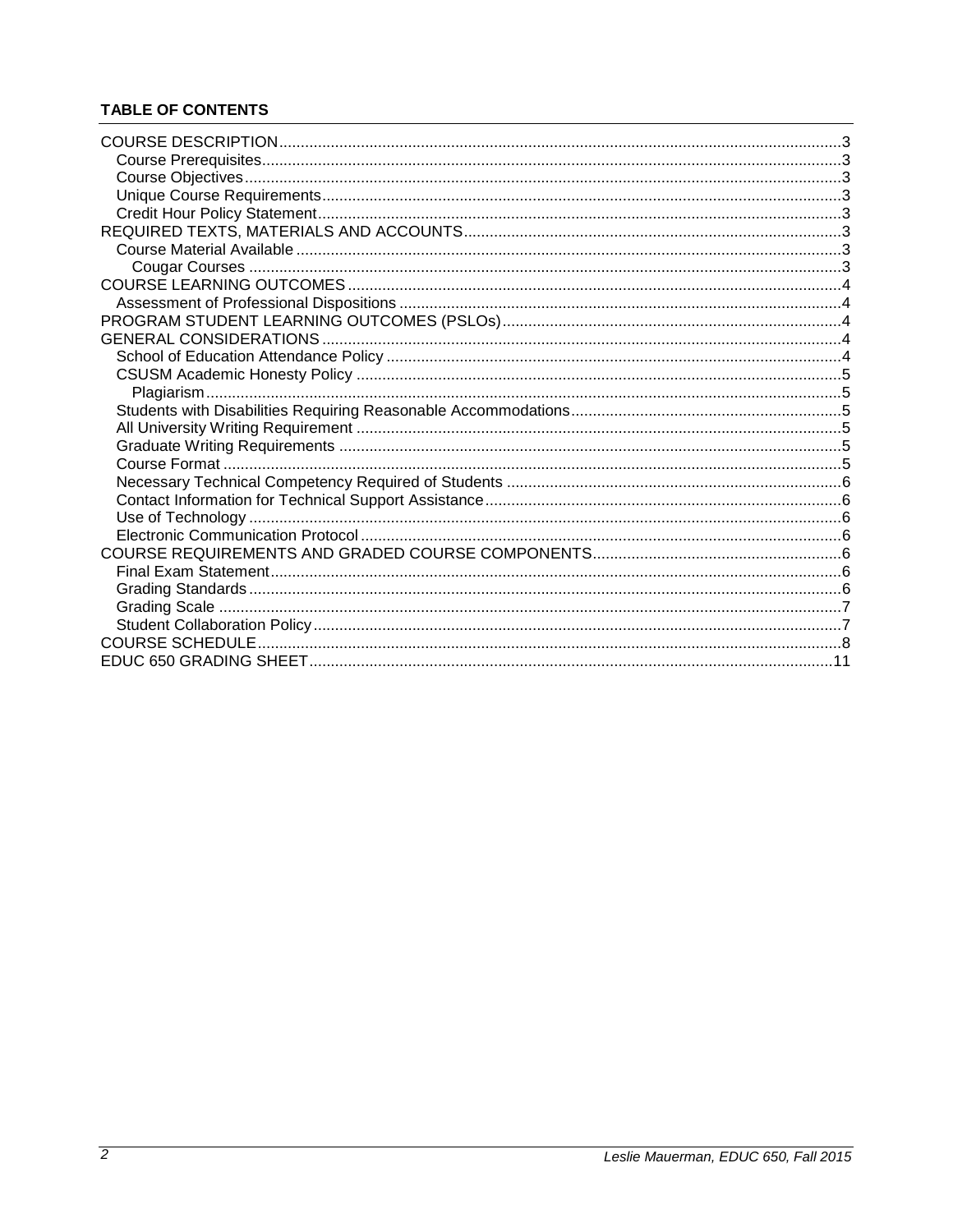# **TABLE OF CONTENTS**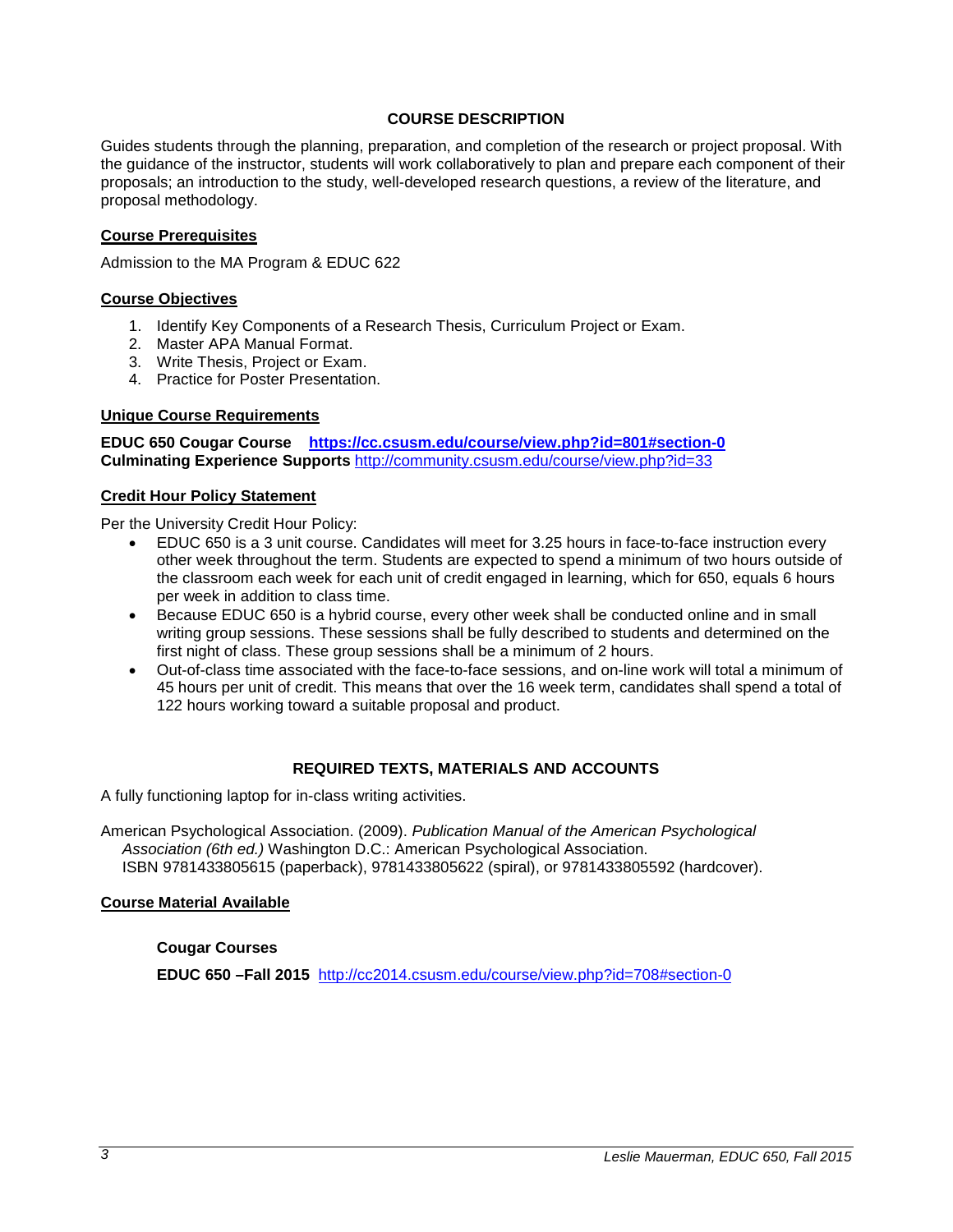### **COURSE DESCRIPTION**

<span id="page-2-0"></span>Guides students through the planning, preparation, and completion of the research or project proposal. With the guidance of the instructor, students will work collaboratively to plan and prepare each component of their proposals; an introduction to the study, well-developed research questions, a review of the literature, and proposal methodology.

### <span id="page-2-1"></span>**Course Prerequisites**

Admission to the MA Program & EDUC 622

### <span id="page-2-2"></span>**Course Objectives**

- 1. Identify Key Components of a Research Thesis, Curriculum Project or Exam.
- 2. Master APA Manual Format.
- 3. Write Thesis, Project or Exam.
- 4. Practice for Poster Presentation.

### <span id="page-2-3"></span>**Unique Course Requirements**

**EDUC 650 Cougar Course <https://cc.csusm.edu/course/view.php?id=801#section-0> Culminating Experience Supports** <http://community.csusm.edu/course/view.php?id=33>

### <span id="page-2-4"></span>**Credit Hour Policy Statement**

Per the University Credit Hour Policy:

- EDUC 650 is a 3 unit course. Candidates will meet for 3.25 hours in face-to-face instruction every other week throughout the term. Students are expected to spend a minimum of two hours outside of the classroom each week for each unit of credit engaged in learning, which for 650, equals 6 hours per week in addition to class time.
- Because EDUC 650 is a hybrid course, every other week shall be conducted online and in small writing group sessions. These sessions shall be fully described to students and determined on the first night of class. These group sessions shall be a minimum of 2 hours.
- Out-of-class time associated with the face-to-face sessions, and on-line work will total a minimum of 45 hours per unit of credit. This means that over the 16 week term, candidates shall spend a total of 122 hours working toward a suitable proposal and product.

### **REQUIRED TEXTS, MATERIALS AND ACCOUNTS**

<span id="page-2-5"></span>A fully functioning laptop for in-class writing activities.

American Psychological Association. (2009). *Publication Manual of the American Psychological Association (6th ed.)* Washington D.C.: American Psychological Association. ISBN 9781433805615 (paperback), 9781433805622 (spiral), or 9781433805592 (hardcover).

#### <span id="page-2-7"></span><span id="page-2-6"></span>**Course Material Available**

#### **Cougar Courses**

**EDUC 650 –Fall 2015** <http://cc2014.csusm.edu/course/view.php?id=708#section-0>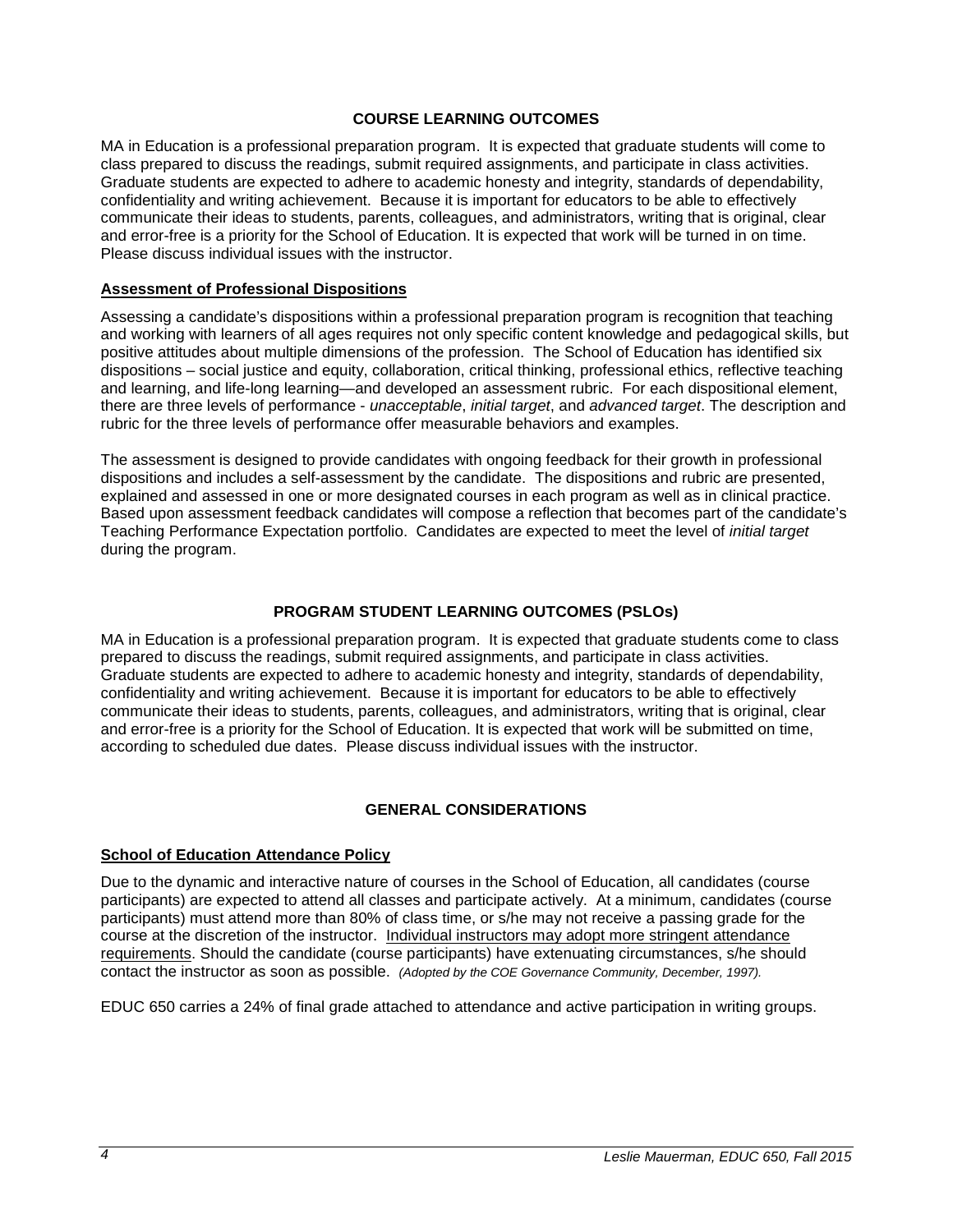### **COURSE LEARNING OUTCOMES**

<span id="page-3-0"></span>MA in Education is a professional preparation program. It is expected that graduate students will come to class prepared to discuss the readings, submit required assignments, and participate in class activities. Graduate students are expected to adhere to academic honesty and integrity, standards of dependability, confidentiality and writing achievement. Because it is important for educators to be able to effectively communicate their ideas to students, parents, colleagues, and administrators, writing that is original, clear and error-free is a priority for the School of Education. It is expected that work will be turned in on time. Please discuss individual issues with the instructor.

#### <span id="page-3-1"></span>**Assessment of Professional Dispositions**

Assessing a candidate's dispositions within a professional preparation program is recognition that teaching and working with learners of all ages requires not only specific content knowledge and pedagogical skills, but positive attitudes about multiple dimensions of the profession. The School of Education has identified six dispositions – social justice and equity, collaboration, critical thinking, professional ethics, reflective teaching and learning, and life-long learning—and developed an assessment rubric. For each dispositional element, there are three levels of performance - *unacceptable*, *initial target*, and *advanced target*. The description and rubric for the three levels of performance offer measurable behaviors and examples.

The assessment is designed to provide candidates with ongoing feedback for their growth in professional dispositions and includes a self-assessment by the candidate. The dispositions and rubric are presented, explained and assessed in one or more designated courses in each program as well as in clinical practice. Based upon assessment feedback candidates will compose a reflection that becomes part of the candidate's Teaching Performance Expectation portfolio. Candidates are expected to meet the level of *initial target* during the program.

### **PROGRAM STUDENT LEARNING OUTCOMES (PSLOs)**

<span id="page-3-2"></span>MA in Education is a professional preparation program. It is expected that graduate students come to class prepared to discuss the readings, submit required assignments, and participate in class activities. Graduate students are expected to adhere to academic honesty and integrity, standards of dependability, confidentiality and writing achievement. Because it is important for educators to be able to effectively communicate their ideas to students, parents, colleagues, and administrators, writing that is original, clear and error-free is a priority for the School of Education. It is expected that work will be submitted on time, according to scheduled due dates. Please discuss individual issues with the instructor.

### **GENERAL CONSIDERATIONS**

#### <span id="page-3-4"></span><span id="page-3-3"></span>**School of Education Attendance Policy**

Due to the dynamic and interactive nature of courses in the School of Education, all candidates (course participants) are expected to attend all classes and participate actively. At a minimum, candidates (course participants) must attend more than 80% of class time, or s/he may not receive a passing grade for the course at the discretion of the instructor. Individual instructors may adopt more stringent attendance requirements. Should the candidate (course participants) have extenuating circumstances, s/he should contact the instructor as soon as possible. *(Adopted by the COE Governance Community, December, 1997).*

EDUC 650 carries a 24% of final grade attached to attendance and active participation in writing groups.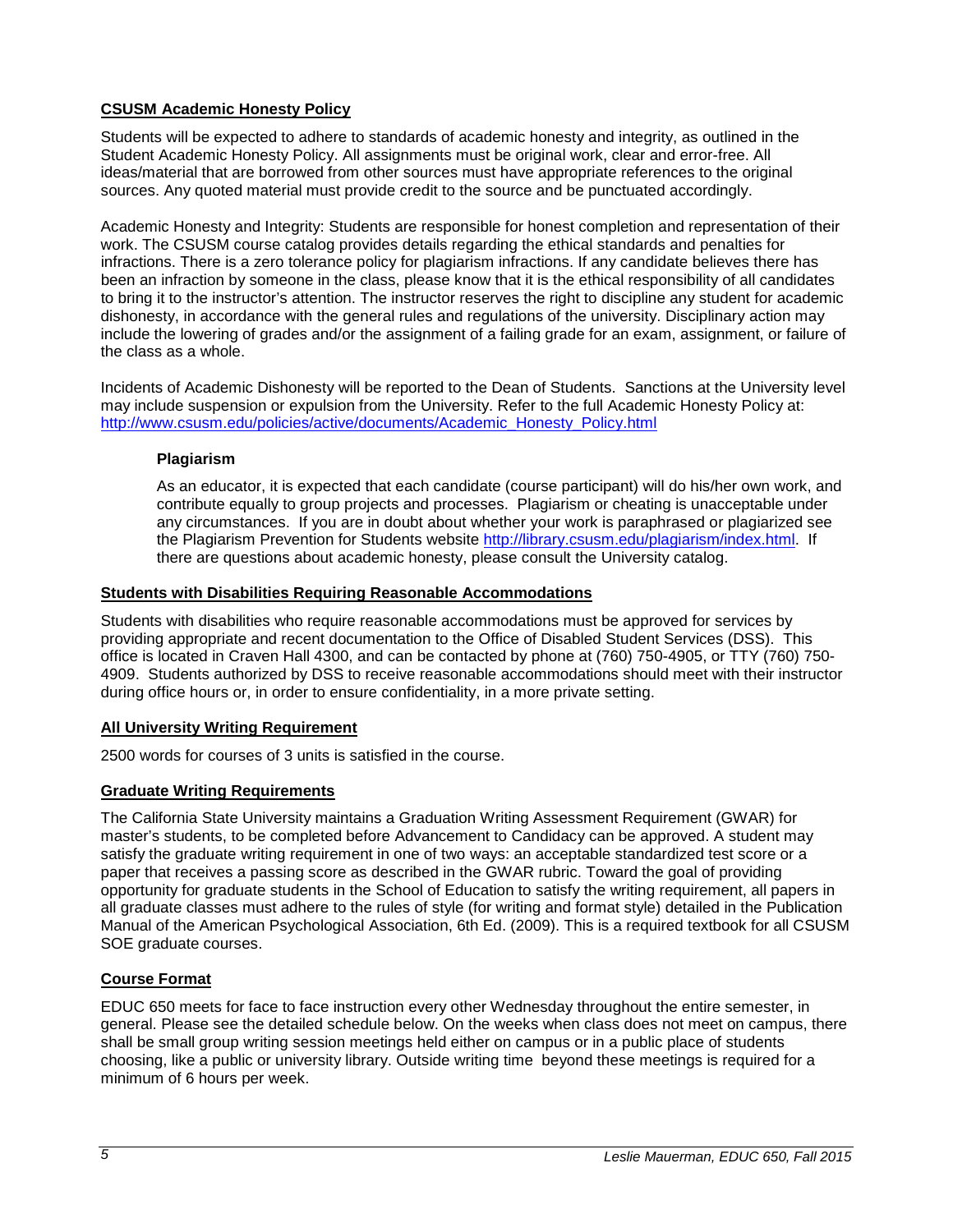## <span id="page-4-0"></span>**CSUSM Academic Honesty Policy**

Students will be expected to adhere to standards of academic honesty and integrity, as outlined in the Student Academic Honesty Policy. All assignments must be original work, clear and error-free. All ideas/material that are borrowed from other sources must have appropriate references to the original sources. Any quoted material must provide credit to the source and be punctuated accordingly.

Academic Honesty and Integrity: Students are responsible for honest completion and representation of their work. The CSUSM course catalog provides details regarding the ethical standards and penalties for infractions. There is a zero tolerance policy for plagiarism infractions. If any candidate believes there has been an infraction by someone in the class, please know that it is the ethical responsibility of all candidates to bring it to the instructor's attention. The instructor reserves the right to discipline any student for academic dishonesty, in accordance with the general rules and regulations of the university. Disciplinary action may include the lowering of grades and/or the assignment of a failing grade for an exam, assignment, or failure of the class as a whole.

Incidents of Academic Dishonesty will be reported to the Dean of Students. Sanctions at the University level may include suspension or expulsion from the University. Refer to the full Academic Honesty Policy at: [http://www.csusm.edu/policies/active/documents/Academic\\_Honesty\\_Policy.html](http://www.csusm.edu/policies/active/documents/Academic_Honesty_Policy.html)

## <span id="page-4-1"></span>**Plagiarism**

As an educator, it is expected that each candidate (course participant) will do his/her own work, and contribute equally to group projects and processes. Plagiarism or cheating is unacceptable under any circumstances. If you are in doubt about whether your work is paraphrased or plagiarized see the Plagiarism Prevention for Students website [http://library.csusm.edu/plagiarism/index.html.](http://library.csusm.edu/plagiarism/index.html) If there are questions about academic honesty, please consult the University catalog.

### <span id="page-4-2"></span>**Students with Disabilities Requiring Reasonable Accommodations**

Students with disabilities who require reasonable accommodations must be approved for services by providing appropriate and recent documentation to the Office of Disabled Student Services (DSS). This office is located in Craven Hall 4300, and can be contacted by phone at (760) 750-4905, or TTY (760) 750- 4909. Students authorized by DSS to receive reasonable accommodations should meet with their instructor during office hours or, in order to ensure confidentiality, in a more private setting.

## <span id="page-4-3"></span>**All University Writing Requirement**

2500 words for courses of 3 units is satisfied in the course.

## <span id="page-4-4"></span>**Graduate Writing Requirements**

The California State University maintains a Graduation Writing Assessment Requirement (GWAR) for master's students, to be completed before Advancement to Candidacy can be approved. A student may satisfy the graduate writing requirement in one of two ways: an acceptable standardized test score or a paper that receives a passing score as described in the GWAR rubric. Toward the goal of providing opportunity for graduate students in the School of Education to satisfy the writing requirement, all papers in all graduate classes must adhere to the rules of style (for writing and format style) detailed in the Publication Manual of the American Psychological Association, 6th Ed. (2009). This is a required textbook for all CSUSM SOE graduate courses.

## <span id="page-4-5"></span>**Course Format**

EDUC 650 meets for face to face instruction every other Wednesday throughout the entire semester, in general. Please see the detailed schedule below. On the weeks when class does not meet on campus, there shall be small group writing session meetings held either on campus or in a public place of students choosing, like a public or university library. Outside writing time beyond these meetings is required for a minimum of 6 hours per week.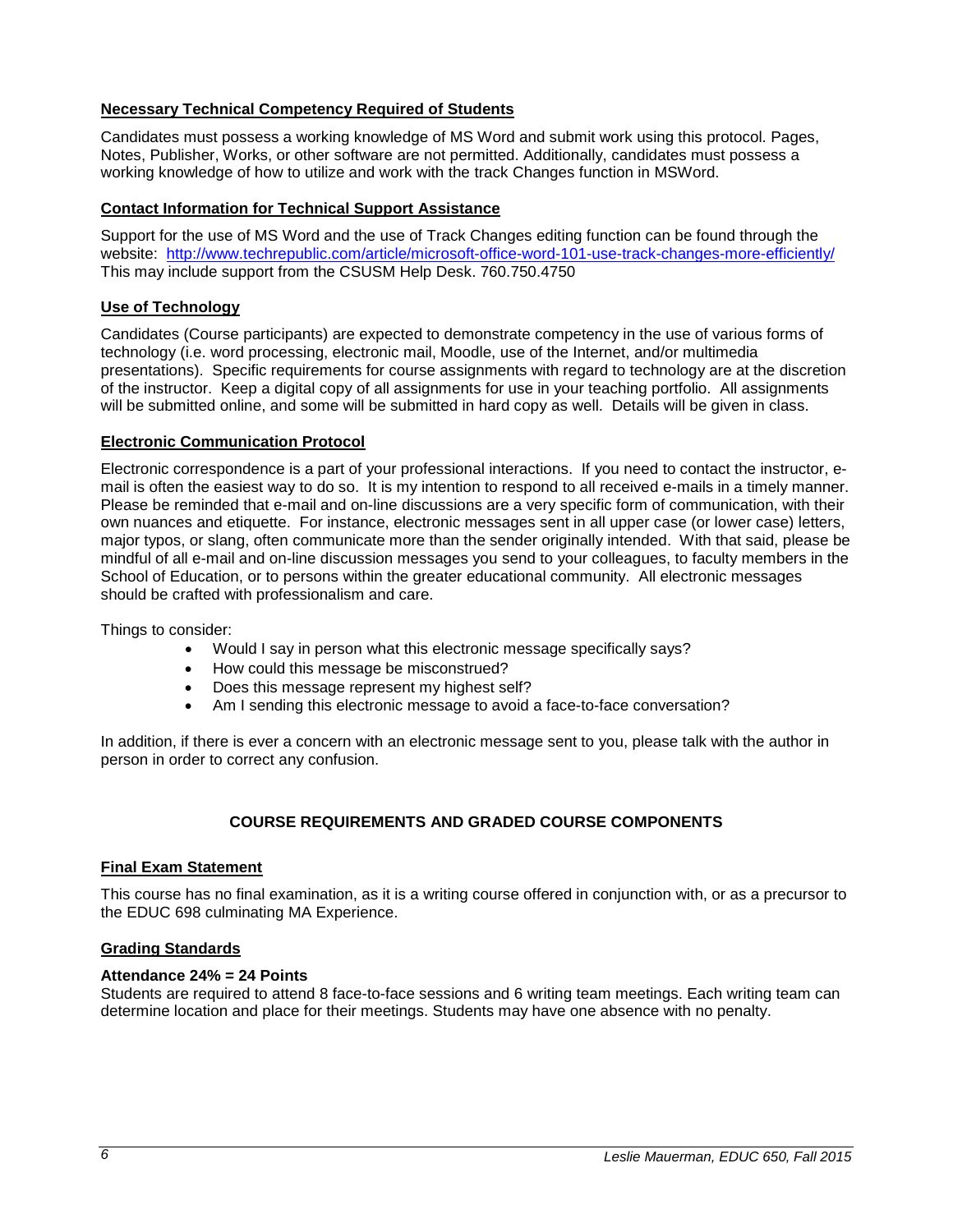## <span id="page-5-0"></span>**Necessary Technical Competency Required of Students**

Candidates must possess a working knowledge of MS Word and submit work using this protocol. Pages, Notes, Publisher, Works, or other software are not permitted. Additionally, candidates must possess a working knowledge of how to utilize and work with the track Changes function in MSWord.

### <span id="page-5-1"></span>**Contact Information for Technical Support Assistance**

Support for the use of MS Word and the use of Track Changes editing function can be found through the website: <http://www.techrepublic.com/article/microsoft-office-word-101-use-track-changes-more-efficiently/> This may include support from the CSUSM Help Desk. 760.750.4750

## <span id="page-5-2"></span>**Use of Technology**

Candidates (Course participants) are expected to demonstrate competency in the use of various forms of technology (i.e. word processing, electronic mail, Moodle, use of the Internet, and/or multimedia presentations). Specific requirements for course assignments with regard to technology are at the discretion of the instructor. Keep a digital copy of all assignments for use in your teaching portfolio. All assignments will be submitted online, and some will be submitted in hard copy as well. Details will be given in class.

## <span id="page-5-3"></span>**Electronic Communication Protocol**

Electronic correspondence is a part of your professional interactions. If you need to contact the instructor, email is often the easiest way to do so. It is my intention to respond to all received e-mails in a timely manner. Please be reminded that e-mail and on-line discussions are a very specific form of communication, with their own nuances and etiquette. For instance, electronic messages sent in all upper case (or lower case) letters, major typos, or slang, often communicate more than the sender originally intended. With that said, please be mindful of all e-mail and on-line discussion messages you send to your colleagues, to faculty members in the School of Education, or to persons within the greater educational community. All electronic messages should be crafted with professionalism and care.

Things to consider:

- Would I say in person what this electronic message specifically says?
- How could this message be misconstrued?
- Does this message represent my highest self?
- Am I sending this electronic message to avoid a face-to-face conversation?

In addition, if there is ever a concern with an electronic message sent to you, please talk with the author in person in order to correct any confusion.

## **COURSE REQUIREMENTS AND GRADED COURSE COMPONENTS**

### <span id="page-5-5"></span><span id="page-5-4"></span>**Final Exam Statement**

This course has no final examination, as it is a writing course offered in conjunction with, or as a precursor to the EDUC 698 culminating MA Experience.

### <span id="page-5-6"></span>**Grading Standards**

### **Attendance 24% = 24 Points**

Students are required to attend 8 face-to-face sessions and 6 writing team meetings. Each writing team can determine location and place for their meetings. Students may have one absence with no penalty.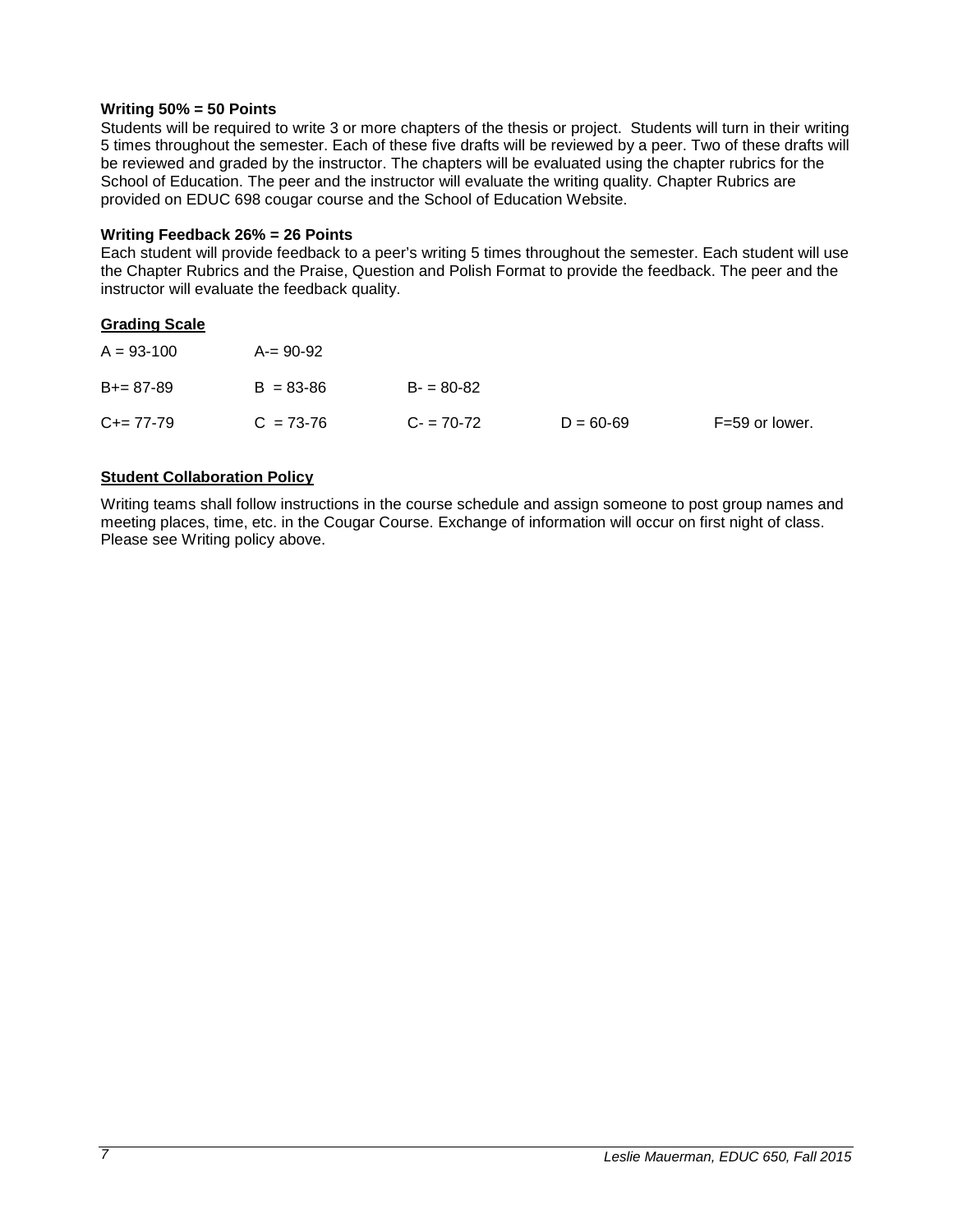#### **Writing 50% = 50 Points**

Students will be required to write 3 or more chapters of the thesis or project. Students will turn in their writing 5 times throughout the semester. Each of these five drafts will be reviewed by a peer. Two of these drafts will be reviewed and graded by the instructor. The chapters will be evaluated using the chapter rubrics for the School of Education. The peer and the instructor will evaluate the writing quality. Chapter Rubrics are provided on EDUC 698 cougar course and the School of Education Website.

### **Writing Feedback 26% = 26 Points**

Each student will provide feedback to a peer's writing 5 times throughout the semester. Each student will use the Chapter Rubrics and the Praise, Question and Polish Format to provide the feedback. The peer and the instructor will evaluate the feedback quality.

### <span id="page-6-0"></span>**Grading Scale**

| $A = 93 - 100$ | $A = 90-92$   |             |               |                |
|----------------|---------------|-------------|---------------|----------------|
| $B+= 87-89$    | $B = 83 - 86$ | $B = 80-82$ |               |                |
| $C+= 77-79$    | $C = 73-76$   | $C = 70-72$ | $D = 60 - 69$ | F=59 or lower. |

### <span id="page-6-1"></span>**Student Collaboration Policy**

Writing teams shall follow instructions in the course schedule and assign someone to post group names and meeting places, time, etc. in the Cougar Course. Exchange of information will occur on first night of class. Please see Writing policy above.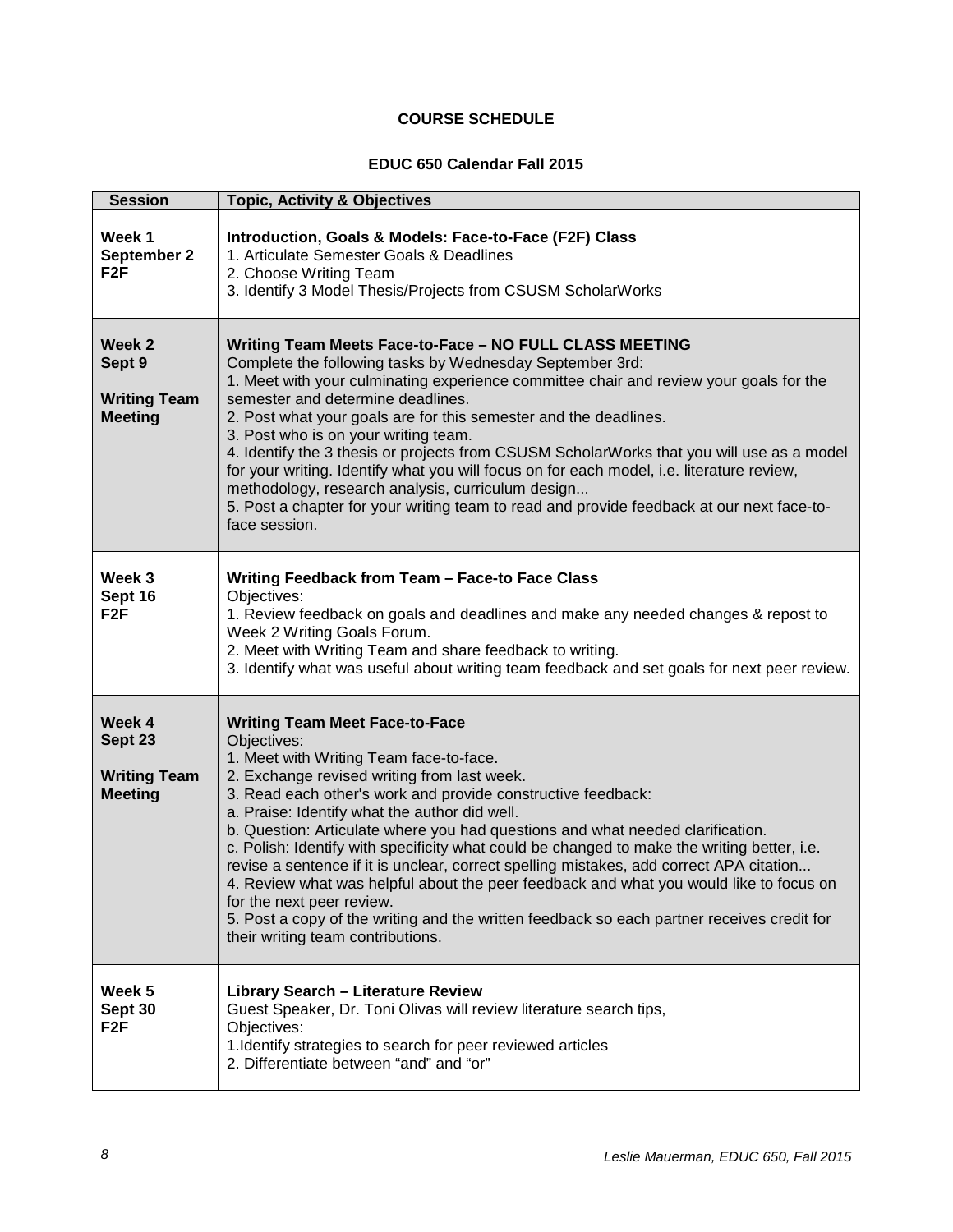# **COURSE SCHEDULE**

### **EDUC 650 Calendar Fall 2015**

<span id="page-7-0"></span>

| <b>Session</b>                                                       | <b>Topic, Activity &amp; Objectives</b>                                                                                                                                                                                                                                                                                                                                                                                                                                                                                                                                                                                                                                                                                                                                                               |  |  |
|----------------------------------------------------------------------|-------------------------------------------------------------------------------------------------------------------------------------------------------------------------------------------------------------------------------------------------------------------------------------------------------------------------------------------------------------------------------------------------------------------------------------------------------------------------------------------------------------------------------------------------------------------------------------------------------------------------------------------------------------------------------------------------------------------------------------------------------------------------------------------------------|--|--|
| Week 1<br>September 2<br>F <sub>2</sub> F                            | Introduction, Goals & Models: Face-to-Face (F2F) Class<br>1. Articulate Semester Goals & Deadlines<br>2. Choose Writing Team<br>3. Identify 3 Model Thesis/Projects from CSUSM ScholarWorks                                                                                                                                                                                                                                                                                                                                                                                                                                                                                                                                                                                                           |  |  |
| Week <sub>2</sub><br>Sept 9<br><b>Writing Team</b><br><b>Meeting</b> | Writing Team Meets Face-to-Face - NO FULL CLASS MEETING<br>Complete the following tasks by Wednesday September 3rd:<br>1. Meet with your culminating experience committee chair and review your goals for the<br>semester and determine deadlines.<br>2. Post what your goals are for this semester and the deadlines.<br>3. Post who is on your writing team.<br>4. Identify the 3 thesis or projects from CSUSM ScholarWorks that you will use as a model<br>for your writing. Identify what you will focus on for each model, i.e. literature review,<br>methodology, research analysis, curriculum design<br>5. Post a chapter for your writing team to read and provide feedback at our next face-to-<br>face session.                                                                           |  |  |
| Week 3<br>Sept 16<br>F <sub>2</sub> F                                | Writing Feedback from Team - Face-to Face Class<br>Objectives:<br>1. Review feedback on goals and deadlines and make any needed changes & repost to<br>Week 2 Writing Goals Forum.<br>2. Meet with Writing Team and share feedback to writing.<br>3. Identify what was useful about writing team feedback and set goals for next peer review.                                                                                                                                                                                                                                                                                                                                                                                                                                                         |  |  |
| Week 4<br>Sept 23<br><b>Writing Team</b><br><b>Meeting</b>           | <b>Writing Team Meet Face-to-Face</b><br>Objectives:<br>1. Meet with Writing Team face-to-face.<br>2. Exchange revised writing from last week.<br>3. Read each other's work and provide constructive feedback:<br>a. Praise: Identify what the author did well.<br>b. Question: Articulate where you had questions and what needed clarification.<br>c. Polish: Identify with specificity what could be changed to make the writing better, i.e.<br>revise a sentence if it is unclear, correct spelling mistakes, add correct APA citation<br>4. Review what was helpful about the peer feedback and what you would like to focus on<br>for the next peer review.<br>5. Post a copy of the writing and the written feedback so each partner receives credit for<br>their writing team contributions. |  |  |
| Week 5<br>Sept 30<br>F <sub>2</sub> F                                | <b>Library Search - Literature Review</b><br>Guest Speaker, Dr. Toni Olivas will review literature search tips,<br>Objectives:<br>1. Identify strategies to search for peer reviewed articles<br>2. Differentiate between "and" and "or"                                                                                                                                                                                                                                                                                                                                                                                                                                                                                                                                                              |  |  |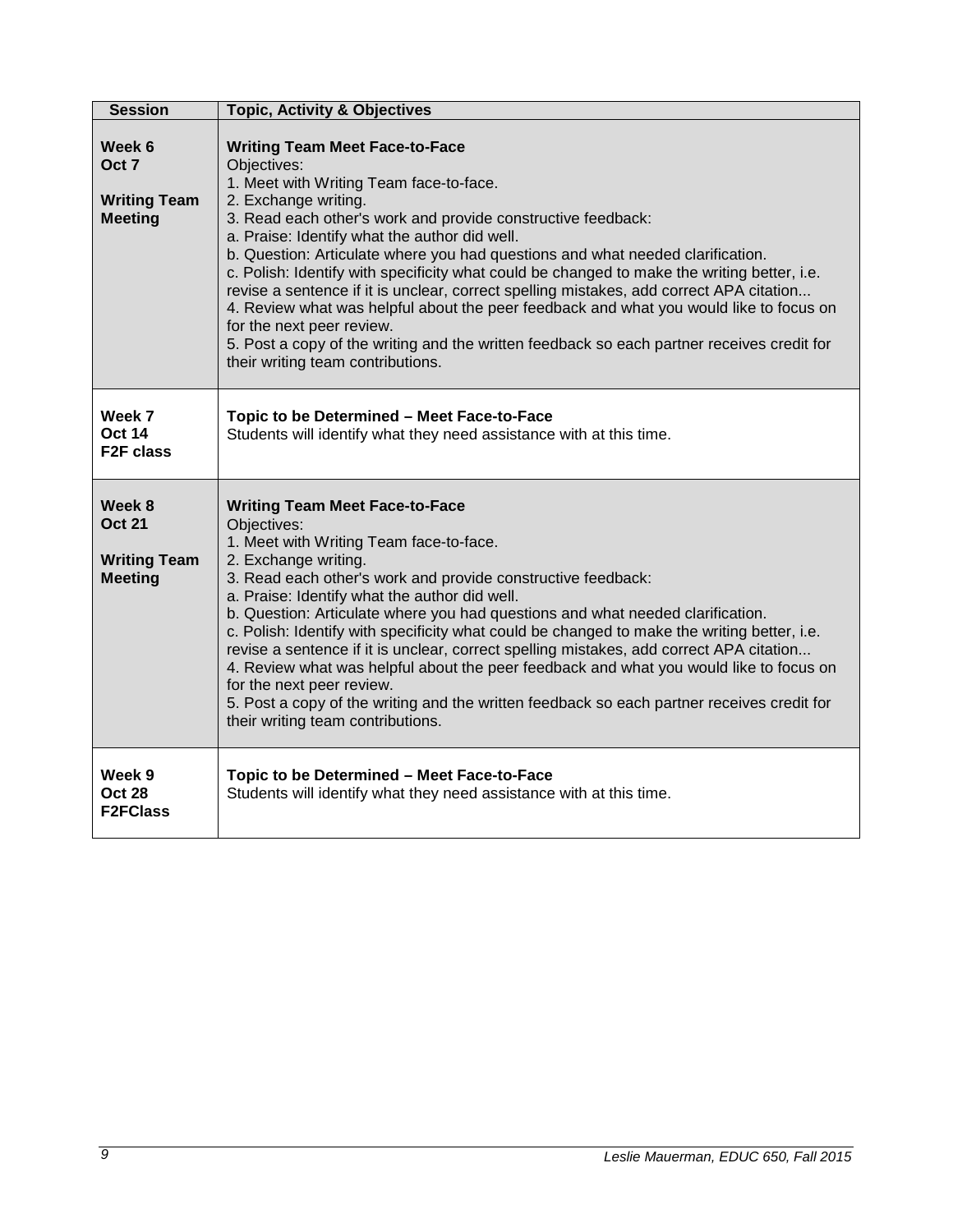| <b>Session</b>                                                   | <b>Topic, Activity &amp; Objectives</b>                                                                                                                                                                                                                                                                                                                                                                                                                                                                                                                                                                                                                                                                                                                                        |
|------------------------------------------------------------------|--------------------------------------------------------------------------------------------------------------------------------------------------------------------------------------------------------------------------------------------------------------------------------------------------------------------------------------------------------------------------------------------------------------------------------------------------------------------------------------------------------------------------------------------------------------------------------------------------------------------------------------------------------------------------------------------------------------------------------------------------------------------------------|
| Week 6<br>Oct 7<br><b>Writing Team</b><br><b>Meeting</b>         | <b>Writing Team Meet Face-to-Face</b><br>Objectives:<br>1. Meet with Writing Team face-to-face.<br>2. Exchange writing.<br>3. Read each other's work and provide constructive feedback:<br>a. Praise: Identify what the author did well.<br>b. Question: Articulate where you had questions and what needed clarification.<br>c. Polish: Identify with specificity what could be changed to make the writing better, i.e.<br>revise a sentence if it is unclear, correct spelling mistakes, add correct APA citation<br>4. Review what was helpful about the peer feedback and what you would like to focus on<br>for the next peer review.<br>5. Post a copy of the writing and the written feedback so each partner receives credit for<br>their writing team contributions. |
| Week 7<br><b>Oct 14</b><br><b>F2F class</b>                      | Topic to be Determined - Meet Face-to-Face<br>Students will identify what they need assistance with at this time.                                                                                                                                                                                                                                                                                                                                                                                                                                                                                                                                                                                                                                                              |
| Week 8<br><b>Oct 21</b><br><b>Writing Team</b><br><b>Meeting</b> | <b>Writing Team Meet Face-to-Face</b><br>Objectives:<br>1. Meet with Writing Team face-to-face.<br>2. Exchange writing.<br>3. Read each other's work and provide constructive feedback:<br>a. Praise: Identify what the author did well.<br>b. Question: Articulate where you had questions and what needed clarification.<br>c. Polish: Identify with specificity what could be changed to make the writing better, i.e.<br>revise a sentence if it is unclear, correct spelling mistakes, add correct APA citation<br>4. Review what was helpful about the peer feedback and what you would like to focus on<br>for the next peer review.<br>5. Post a copy of the writing and the written feedback so each partner receives credit for<br>their writing team contributions. |
| Week 9<br><b>Oct 28</b><br><b>F2FClass</b>                       | Topic to be Determined - Meet Face-to-Face<br>Students will identify what they need assistance with at this time.                                                                                                                                                                                                                                                                                                                                                                                                                                                                                                                                                                                                                                                              |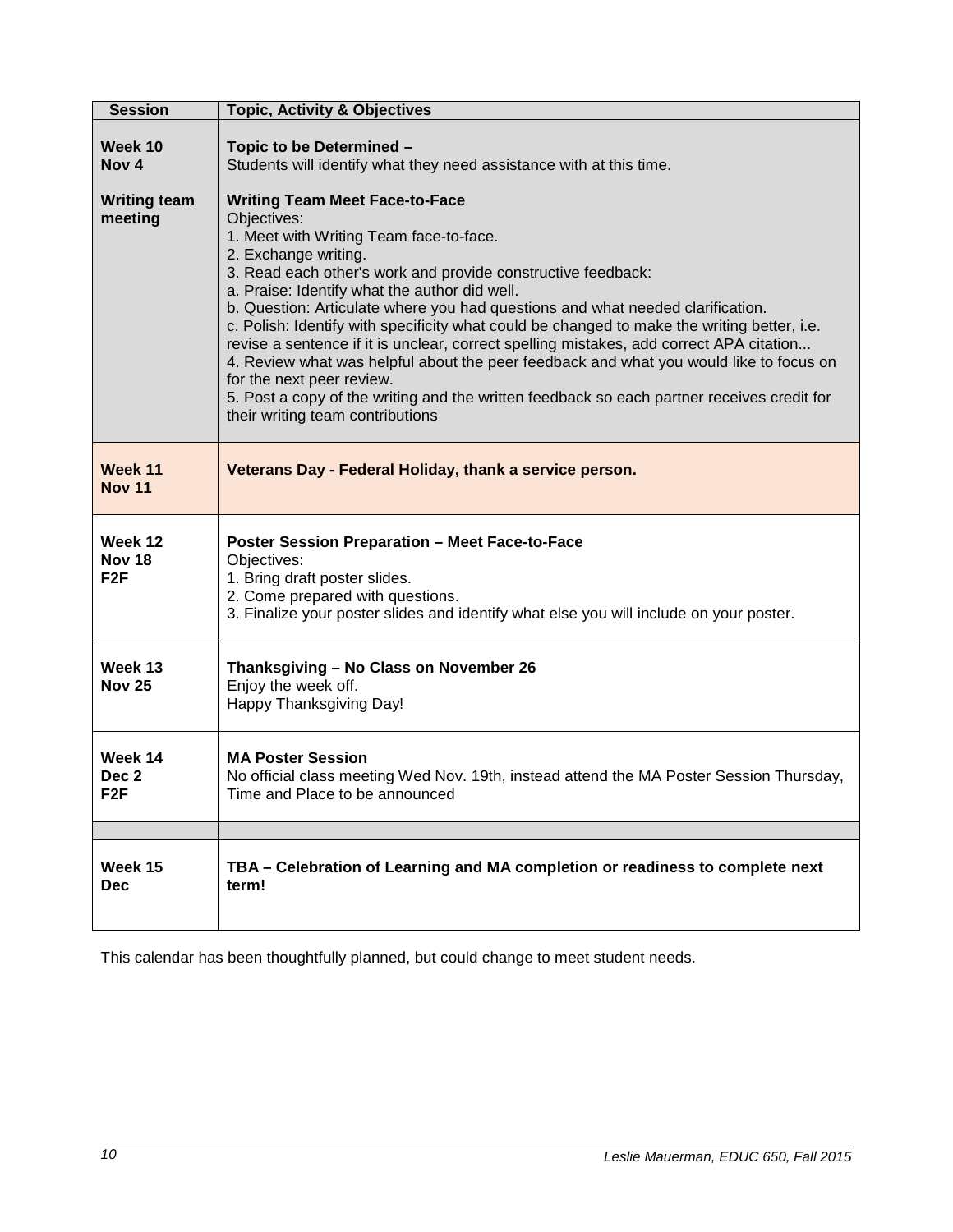| <b>Session</b>                                                | <b>Topic, Activity &amp; Objectives</b>                                                                                                                                                                                                                                                                                                                                                                                                                                                                                                                                                                                                                                    |  |  |  |
|---------------------------------------------------------------|----------------------------------------------------------------------------------------------------------------------------------------------------------------------------------------------------------------------------------------------------------------------------------------------------------------------------------------------------------------------------------------------------------------------------------------------------------------------------------------------------------------------------------------------------------------------------------------------------------------------------------------------------------------------------|--|--|--|
| Week 10<br>Nov <sub>4</sub><br><b>Writing team</b><br>meeting | Topic to be Determined -<br>Students will identify what they need assistance with at this time.<br><b>Writing Team Meet Face-to-Face</b><br>Objectives:<br>1. Meet with Writing Team face-to-face.                                                                                                                                                                                                                                                                                                                                                                                                                                                                         |  |  |  |
|                                                               | 2. Exchange writing.<br>3. Read each other's work and provide constructive feedback:<br>a. Praise: Identify what the author did well.<br>b. Question: Articulate where you had questions and what needed clarification.<br>c. Polish: Identify with specificity what could be changed to make the writing better, i.e.<br>revise a sentence if it is unclear, correct spelling mistakes, add correct APA citation<br>4. Review what was helpful about the peer feedback and what you would like to focus on<br>for the next peer review.<br>5. Post a copy of the writing and the written feedback so each partner receives credit for<br>their writing team contributions |  |  |  |
| Week 11<br><b>Nov 11</b>                                      | Veterans Day - Federal Holiday, thank a service person.                                                                                                                                                                                                                                                                                                                                                                                                                                                                                                                                                                                                                    |  |  |  |
| Week 12<br><b>Nov 18</b><br>F <sub>2</sub> F                  | <b>Poster Session Preparation - Meet Face-to-Face</b><br>Objectives:<br>1. Bring draft poster slides.<br>2. Come prepared with questions.<br>3. Finalize your poster slides and identify what else you will include on your poster.                                                                                                                                                                                                                                                                                                                                                                                                                                        |  |  |  |
| Week 13<br><b>Nov 25</b>                                      | Thanksgiving - No Class on November 26<br>Enjoy the week off.<br>Happy Thanksgiving Day!                                                                                                                                                                                                                                                                                                                                                                                                                                                                                                                                                                                   |  |  |  |
| Week 14<br>Dec <sub>2</sub><br>F <sub>2</sub> F               | <b>MA Poster Session</b><br>No official class meeting Wed Nov. 19th, instead attend the MA Poster Session Thursday,<br>Time and Place to be announced                                                                                                                                                                                                                                                                                                                                                                                                                                                                                                                      |  |  |  |
|                                                               |                                                                                                                                                                                                                                                                                                                                                                                                                                                                                                                                                                                                                                                                            |  |  |  |
| Week 15<br><b>Dec</b>                                         | TBA - Celebration of Learning and MA completion or readiness to complete next<br>term!                                                                                                                                                                                                                                                                                                                                                                                                                                                                                                                                                                                     |  |  |  |

This calendar has been thoughtfully planned, but could change to meet student needs.